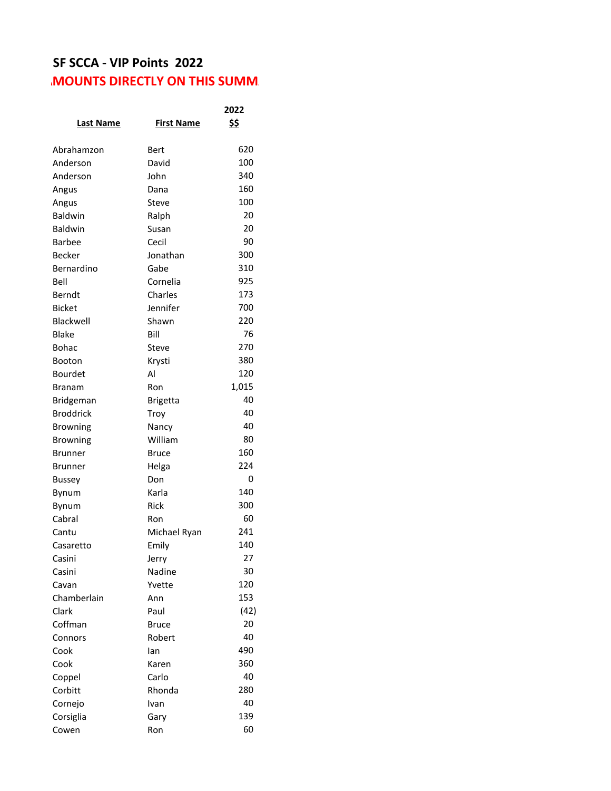## **SF SCCA - VIP Points 2022 MOUNTS DIRECTLY ON THIS SUMM**

|                  |                   | 2022  |
|------------------|-------------------|-------|
| <b>Last Name</b> | <b>First Name</b> | \$\$  |
| Abrahamzon       | Bert              | 620   |
| Anderson         | David             | 100   |
| Anderson         | John              | 340   |
| Angus            | Dana              | 160   |
| Angus            | Steve             | 100   |
| Baldwin          | Ralph             | 20    |
| <b>Baldwin</b>   | Susan             | 20    |
| Barbee           | Cecil             | 90    |
| Becker           | Jonathan          | 300   |
| Bernardino       | Gabe              | 310   |
| Bell             | Cornelia          | 925   |
| Berndt           | Charles           | 173   |
| <b>Bicket</b>    | Jennifer          | 700   |
| Blackwell        | Shawn             | 220   |
| Blake            | Bill              | 76    |
| Bohac            | Steve             | 270   |
| Booton           | Krysti            | 380   |
| Bourdet          | Al                | 120   |
| Branam           | Ron               | 1,015 |
| Bridgeman        | <b>Brigetta</b>   | 40    |
| <b>Broddrick</b> | Troy              | 40    |
| <b>Browning</b>  | Nancy             | 40    |
| <b>Browning</b>  | William           | 80    |
| Brunner          | Bruce             | 160   |
| Brunner          | Helga             | 224   |
| <b>Bussey</b>    | Don               | 0     |
| Bynum            | Karla             | 140   |
| Bynum            | Rick              | 300   |
| Cabral           | Ron               | 60    |
| Cantu            | Michael Ryan      | 241   |
| Casaretto        | Emily             | 140   |
| Casini           | Jerry             | 27    |
| Casini           | Nadine            | 30    |
| Cavan            | Yvette            | 120   |
| Chamberlain      | Ann               | 153   |
| Clark            | Paul              | (42)  |
| Coffman          | <b>Bruce</b>      | 20    |
| Connors          | Robert            | 40    |
| Cook             | lan               | 490   |
| Cook             | Karen             | 360   |
| Coppel           | Carlo             | 40    |
| Corbitt          | Rhonda            | 280   |
| Cornejo          | Ivan              | 40    |
| Corsiglia        | Gary              | 139   |
| Cowen            | Ron               | 60    |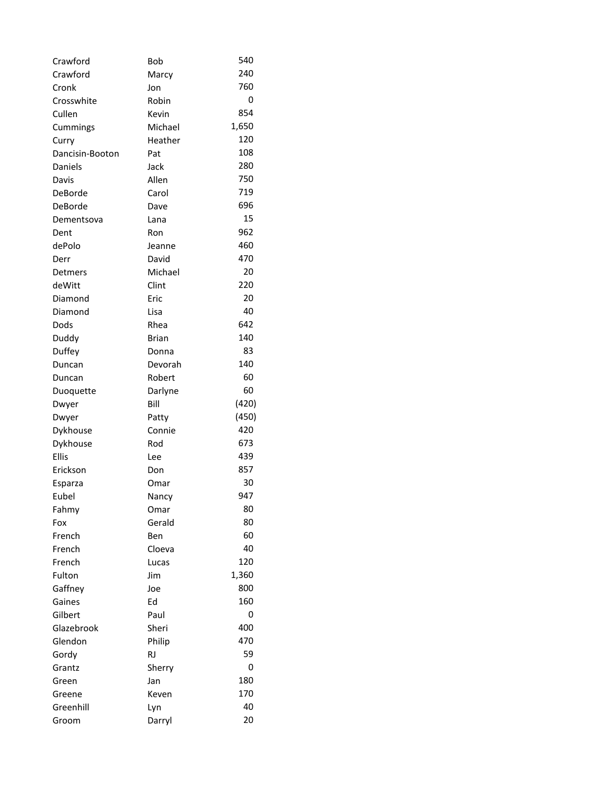| Crawford          | Bob          | 540   |
|-------------------|--------------|-------|
| Crawford          | Marcy        | 240   |
| Cronk             | Jon          | 760   |
| Crosswhite        | Robin        | 0     |
| Cullen            | Kevin        | 854   |
| Cummings          | Michael      | 1,650 |
| Curry             | Heather      | 120   |
| Dancisin-Booton   | Pat          | 108   |
| Daniels           | Jack         | 280   |
| Davis             | Allen        | 750   |
| DeBorde           | Carol        | 719   |
| DeBorde           | Dave         | 696   |
| Dementsova        | Lana         | 15    |
| Dent              | Ron          | 962   |
| dePolo            | Jeanne       | 460   |
| Derr              | David        | 470   |
| Detmers           | Michael      | 20    |
| deWitt            | Clint        | 220   |
| Diamond           | Eric         | 20    |
| Diamond           | Lisa         | 40    |
| Dods              | Rhea         | 642   |
| Duddy             | Brian        | 140   |
| Duffey            | Donna        | 83    |
| Duncan            | Devorah      | 140   |
| Duncan            | Robert       | 60    |
| Duoquette         | Darlyne      | 60    |
| Dwyer             | Bill         | (420) |
| Dwyer             | Patty        | (450) |
| Dykhouse          | Connie       | 420   |
| Dykhouse          | Rod          | 673   |
| <b>Ellis</b>      | Lee          | 439   |
| Erickson          | Don          | 857   |
| Esparza           | Omar         | 30    |
| Eubel             | Nancy        | 947   |
| Fahmy             | Omar         | 80    |
| Fox               | Gerald       | 80    |
| French            | Ben          | 60    |
| French            | Cloeva       | 40    |
| French            |              | 120   |
|                   | Lucas<br>Jim | 1,360 |
| Fulton<br>Gaffney | Joe          | 800   |
| Gaines            | Ed           | 160   |
| Gilbert           |              | 0     |
| Glazebrook        | Paul         | 400   |
| Glendon           | Sheri        | 470   |
|                   | Philip       | 59    |
| Gordy             | <b>RJ</b>    |       |
| Grantz            | Sherry       | 0     |
| Green             | Jan          | 180   |
| Greene            | Keven        | 170   |
| Greenhill         | Lyn          | 40    |
| Groom             | Darryl       | 20    |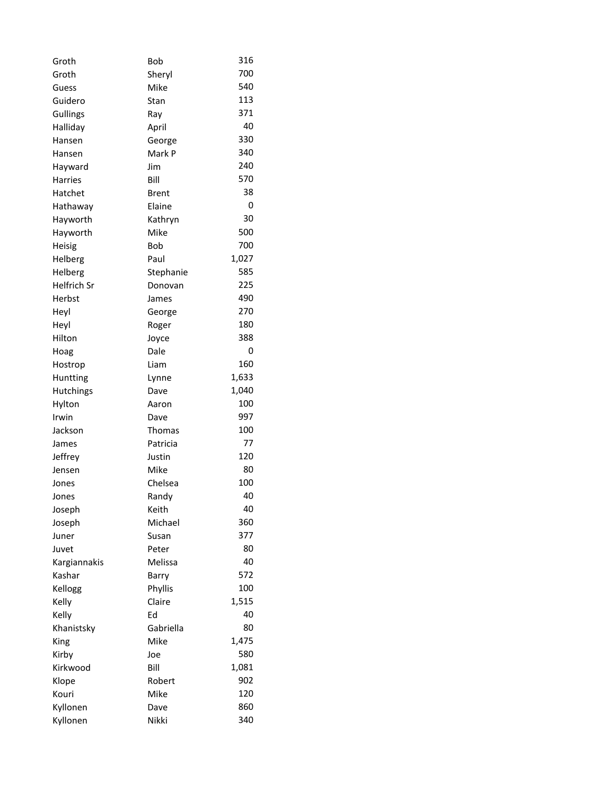| Groth              | Bob          | 316   |
|--------------------|--------------|-------|
| Groth              | Sheryl       | 700   |
| Guess              | Mike         | 540   |
| Guidero            | Stan         | 113   |
| Gullings           | Ray          | 371   |
| Halliday           | April        | 40    |
| Hansen             | George       | 330   |
| Hansen             | Mark P       | 340   |
| Hayward            | Jim          | 240   |
| Harries            | Bill         | 570   |
| Hatchet            | <b>Brent</b> | 38    |
| Hathaway           | Elaine       | 0     |
| Hayworth           | Kathryn      | 30    |
| Hayworth           | Mike         | 500   |
| <b>Heisig</b>      | Bob          | 700   |
| Helberg            | Paul         | 1,027 |
| Helberg            | Stephanie    | 585   |
| <b>Helfrich Sr</b> | Donovan      | 225   |
| Herbst             | James        | 490   |
| Heyl               | George       | 270   |
| Heyl               | Roger        | 180   |
| Hilton             | Joyce        | 388   |
| Hoag               | Dale         | 0     |
| Hostrop            | Liam         | 160   |
| Huntting           | Lynne        | 1,633 |
| Hutchings          | Dave         | 1,040 |
| Hylton             | Aaron        | 100   |
| Irwin              | Dave         | 997   |
| Jackson            | Thomas       | 100   |
| James              | Patricia     | 77    |
| Jeffrey            | Justin       | 120   |
| Jensen             | Mike         | 80    |
| Jones              | Chelsea      | 100   |
| Jones              | Randy        | 40    |
| Joseph             | Keith        | 40    |
| Joseph             | Michael      | 360   |
| Juner              | Susan        | 377   |
| Juvet              | Peter        | 80    |
| Kargiannakis       | Melissa      | 40    |
| Kashar             | Barry        | 572   |
| Kellogg            | Phyllis      | 100   |
| Kelly              | Claire       | 1,515 |
| Kelly              | Ed           | 40    |
| Khanistsky         | Gabriella    | 80    |
| King               | Mike         | 1,475 |
| Kirby              | Joe          | 580   |
| Kirkwood           | Bill         | 1,081 |
| Klope              | Robert       | 902   |
| Kouri              | Mike         | 120   |
| Kyllonen           | Dave         | 860   |
| Kyllonen           | Nikki        | 340   |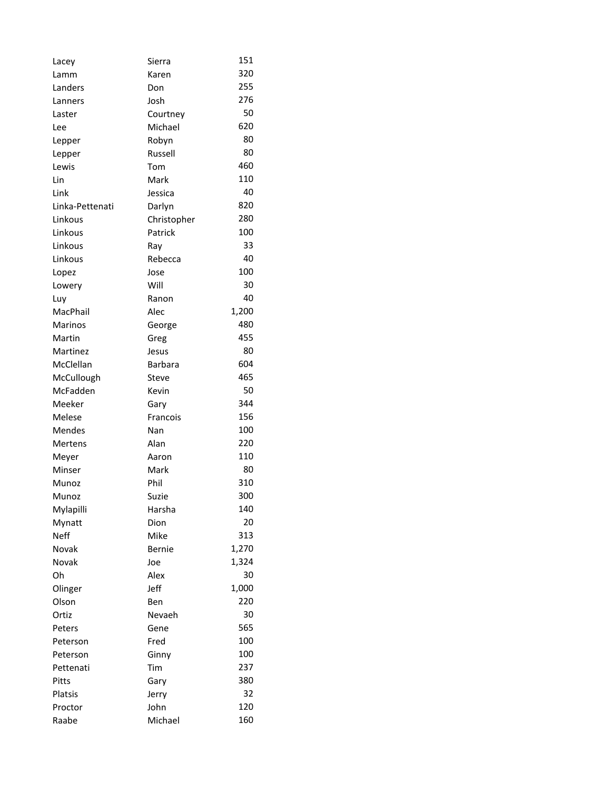| Lacey           | Sierra      | 151   |
|-----------------|-------------|-------|
| Lamm            | Karen       | 320   |
| Landers         | Don         | 255   |
| Lanners         | Josh        | 276   |
| Laster          | Courtney    | 50    |
| Lee             | Michael     | 620   |
| Lepper          | Robyn       | 80    |
| Lepper          | Russell     | 80    |
| Lewis           | Tom         | 460   |
| Lin             | Mark        | 110   |
| Link            | Jessica     | 40    |
| Linka-Pettenati | Darlyn      | 820   |
| Linkous         | Christopher | 280   |
| Linkous         | Patrick     | 100   |
| Linkous         | Ray         | 33    |
| Linkous         | Rebecca     | 40    |
| Lopez           | Jose        | 100   |
| Lowery          | Will        | 30    |
| Luy             | Ranon       | 40    |
| MacPhail        | Alec        | 1,200 |
| Marinos         | George      | 480   |
| Martin          | Greg        | 455   |
| Martinez        | Jesus       | 80    |
| McClellan       | Barbara     | 604   |
| McCullough      | Steve       | 465   |
| McFadden        | Kevin       | 50    |
| Meeker          | Gary        | 344   |
| Melese          | Francois    | 156   |
| <b>Mendes</b>   | Nan         | 100   |
| Mertens         | Alan        | 220   |
| Meyer           | Aaron       | 110   |
| Minser          | Mark        | 80    |
| Munoz           | Phil        | 310   |
| Munoz           | Suzie       | 300   |
| Mylapilli       | Harsha      | 140   |
| Mynatt          | Dion        | 20    |
| <b>Neff</b>     | Mike        | 313   |
| Novak           | Bernie      | 1,270 |
| Novak           | Joe         | 1,324 |
| Oh              | Alex        | 30    |
| Olinger         | Jeff        | 1,000 |
| Olson           | Ben         | 220   |
| Ortiz           | Nevaeh      | 30    |
| Peters          | Gene        | 565   |
| Peterson        | Fred        | 100   |
| Peterson        | Ginny       | 100   |
| Pettenati       | Tim         | 237   |
| Pitts           | Gary        | 380   |
| Platsis         | Jerry       | 32    |
| Proctor         | John        | 120   |
| Raabe           | Michael     | 160   |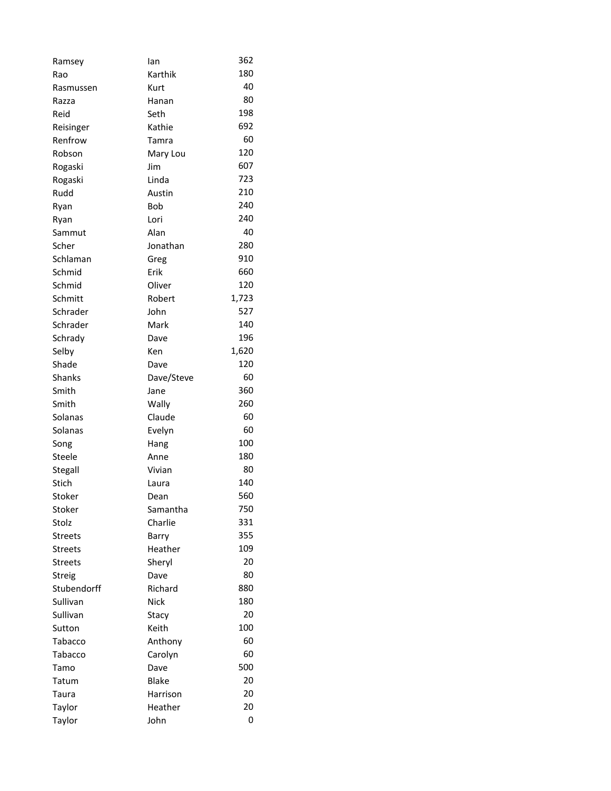| Ramsey         | lan         | 362   |
|----------------|-------------|-------|
| Rao            | Karthik     | 180   |
| Rasmussen      | Kurt        | 40    |
| Razza          | Hanan       | 80    |
| Reid           | Seth        | 198   |
| Reisinger      | Kathie      | 692   |
| Renfrow        | Tamra       | 60    |
| Robson         | Mary Lou    | 120   |
| Rogaski        | Jim         | 607   |
| Rogaski        | Linda       | 723   |
| Rudd           | Austin      | 210   |
| Ryan           | <b>Bob</b>  | 240   |
| Ryan           | Lori        | 240   |
| Sammut         | Alan        | 40    |
| Scher          | Jonathan    | 280   |
| Schlaman       | Greg        | 910   |
| Schmid         | Erik        | 660   |
| Schmid         | Oliver      | 120   |
| Schmitt        | Robert      | 1,723 |
| Schrader       | John        | 527   |
| Schrader       | Mark        | 140   |
| Schrady        | Dave        | 196   |
| Selby          | Ken         | 1,620 |
| Shade          | Dave        | 120   |
| <b>Shanks</b>  | Dave/Steve  | 60    |
| Smith          | Jane        | 360   |
| Smith          | Wally       | 260   |
| Solanas        | Claude      | 60    |
| Solanas        | Evelyn      | 60    |
| Song           | Hang        | 100   |
| Steele         | Anne        | 180   |
| Stegall        | Vivian      | 80    |
| Stich          | Laura       | 140   |
| Stoker         | Dean        | 560   |
| Stoker         | Samantha    | 750   |
| Stolz          | Charlie     | 331   |
| <b>Streets</b> | Barry       | 355   |
| <b>Streets</b> | Heather     | 109   |
| <b>Streets</b> | Sheryl      | 20    |
| Streig         | Dave        | 80    |
| Stubendorff    | Richard     | 880   |
| Sullivan       | <b>Nick</b> | 180   |
| Sullivan       | Stacy       | 20    |
| Sutton         | Keith       | 100   |
| Tabacco        | Anthony     | 60    |
| Tabacco        | Carolyn     | 60    |
| Tamo           | Dave        | 500   |
| Tatum          | Blake       | 20    |
| Taura          | Harrison    | 20    |
| Taylor         | Heather     | 20    |
| Taylor         | John        | 0     |
|                |             |       |